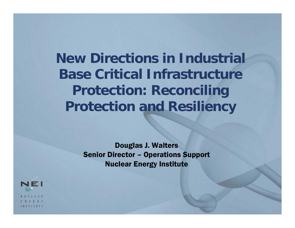**New Directions in Industrial Base Critical Infrastructure Protection: Reconciling Protection and Resiliency**

> Douglas J. Walters Senior Director – Operations Support Nuclear Energy Institute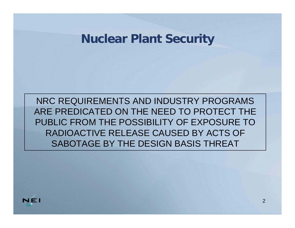#### **Nuclear Plant Security**

NRC REQUIREMENTS AND INDUSTRY PROGRAMS ARE PREDICATED ON THE NEED TO PROTECT THE PUBLIC FROM THE POSSIBILITY OF EXPOSURE TO RADIOACTIVE RELEASE CAUSED BY ACTS OF SABOTAGE BY THE DESIGN BASIS THREAT

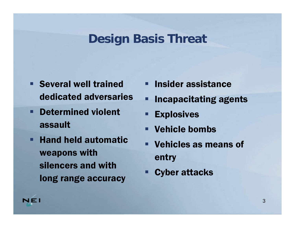# **Design Basis Threat**

- **Several well trained** dedicated adversaries
- **Determined violent** assault
- Hand held automatic weapons with silencers and with long range accuracy
- **Insider assistance**
- Ξ Incapacitating agents
- **Explosives**
- Vehicle bombs
- Vehicles as means of entry
- Ξ Cyber attacks

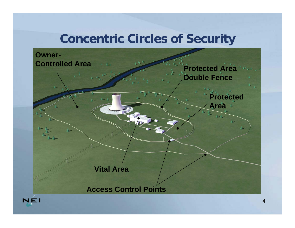### **Concentric Circles of Security**



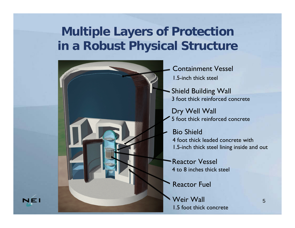# **Multiple Layers of Protection in a Robust Physical Structure**



- Containment Vessel1.5-inch thick steel
- Shield Building Wall 3 foot thick reinforced concrete
- Dry Well Wall 5 foot thick reinforced concrete
- Bio Shield
	- 4 foot thick leaded concrete with1.5-inch thick steel lining inside and out
- Reactor Vessel4 to 8 inches thick steel
- Reactor Fuel
- Weir Wall1.5 foot thick concrete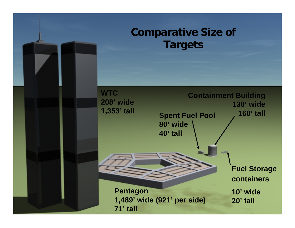#### **Comparative Size of Targets**

**WTC 208' wide 1,353' tall**

**Spent Fuel Pool 80' wide Containment Building 130' wide 160' tall**

**Pentagon 1,489' wide (921' per side) 71' tall**

**40' tall**

**Fuel Storage containers 10' wide 20' tall**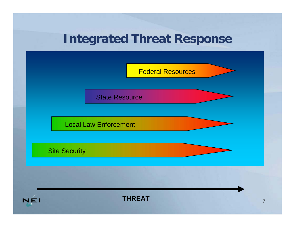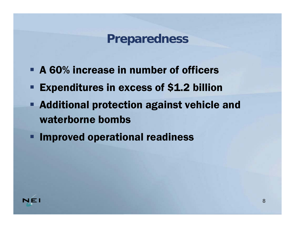### **Preparedness**

- A 60% increase in number of officers
- **Expenditures in excess of \$1.2 billion**
- Additional protection against vehicle and waterborne bombs
- **Example 1** Improved operational readiness

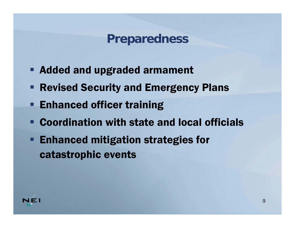### **Preparedness**

- **Added and upgraded armament**
- **Revised Security and Emergency Plans**
- **Enhanced officer training**
- Coordination with state and local officials
- **Enhanced mitigation strategies for** catastrophic events

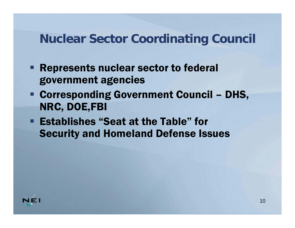### **Nuclear Sector Coordinating Council**

- **Represents nuclear sector to federal** government agencies
- Corresponding Government Council DHS, NRC, DOE,FBI
- Establishes "Seat at the Table" for Security and Homeland Defense Issues

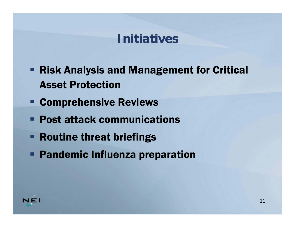### **Initiatives**

- **Risk Analysis and Management for Critical** Asset Protection
- **EXCOMPTEMENSIVE Reviews**
- Post attack communications
- **Routine threat briefings**
- **Pandemic Influenza preparation**